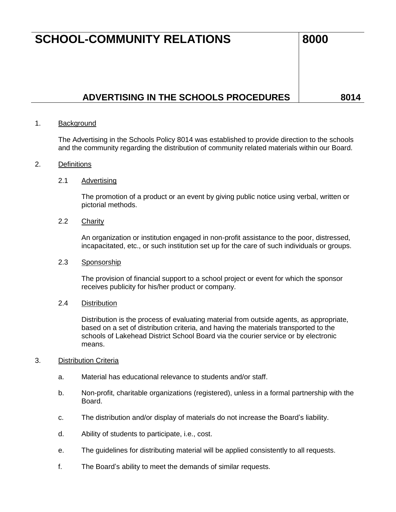# **SCHOOL-COMMUNITY RELATIONS** 8000

### ADVERTISING IN THE SCHOOLS PROCEDURES NAME 3014

#### 1. Background

The Advertising in the Schools Policy 8014 was established to provide direction to the schools and the community regarding the distribution of community related materials within our Board.

#### 2. Definitions

#### 2.1 Advertising

The promotion of a product or an event by giving public notice using verbal, written or pictorial methods.

#### 2.2 Charity

An organization or institution engaged in non-profit assistance to the poor, distressed, incapacitated, etc., or such institution set up for the care of such individuals or groups.

#### 2.3 Sponsorship

The provision of financial support to a school project or event for which the sponsor receives publicity for his/her product or company.

#### 2.4 Distribution

Distribution is the process of evaluating material from outside agents, as appropriate, based on a set of distribution criteria, and having the materials transported to the schools of Lakehead District School Board via the courier service or by electronic means.

#### 3. Distribution Criteria

- a. Material has educational relevance to students and/or staff.
- b. Non-profit, charitable organizations (registered), unless in a formal partnership with the Board.
- c. The distribution and/or display of materials do not increase the Board's liability.
- d. Ability of students to participate, i.e., cost.
- e. The guidelines for distributing material will be applied consistently to all requests.
- f. The Board's ability to meet the demands of similar requests.